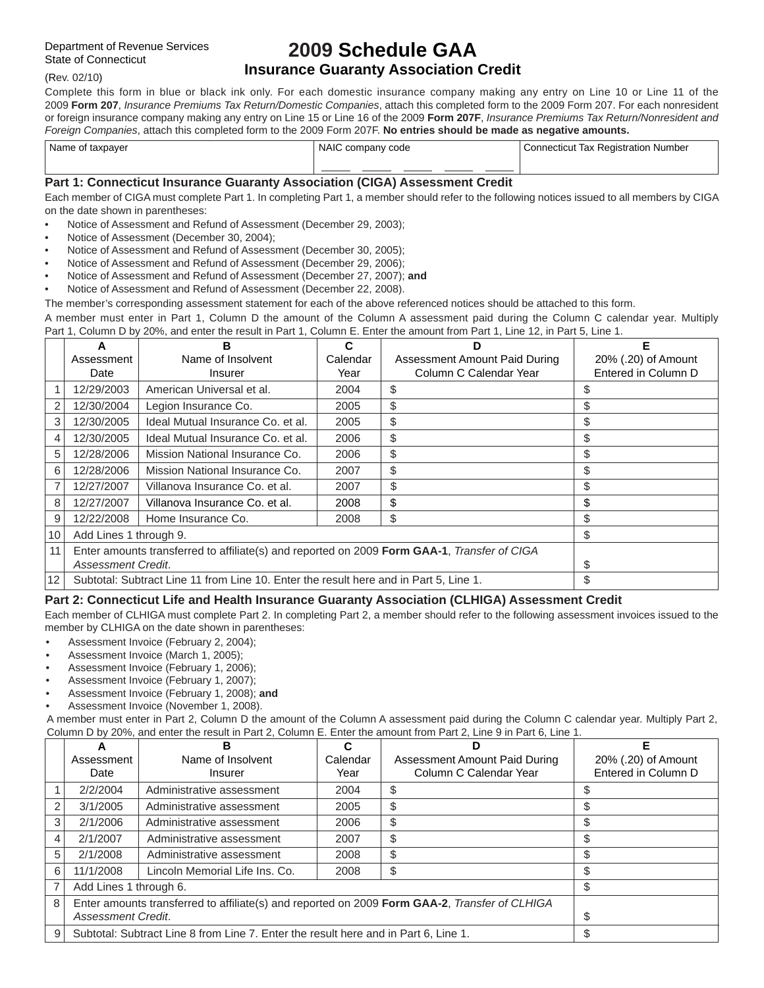# **2009 Schedule GAA Insurance Guaranty Association Credit**

(Rev. 02/10)

Complete this form in blue or black ink only. For each domestic insurance company making any entry on Line 10 or Line 11 of the 2009 **Form 207**, *Insurance Premiums Tax Return/Domestic Companies*, attach this completed form to the 2009 Form 207. For each nonresident or foreign insurance company making any entry on Line 15 or Line 16 of the 2009 **Form 207F**, *Insurance Premiums Tax Return/Nonresident and Foreign Companies*, attach this completed form to the 2009 Form 207F. **No entries should be made as negative amounts.**

| Name of taxpayer | NAIC company code | <b>Connecticut Tax Registration Number</b> |  |
|------------------|-------------------|--------------------------------------------|--|
|                  |                   |                                            |  |

#### **Part 1: Connecticut Insurance Guaranty Association (CIGA) Assessment Credit**

Each member of CIGA must complete Part 1. In completing Part 1, a member should refer to the following notices issued to all members by CIGA on the date shown in parentheses:

- Notice of Assessment and Refund of Assessment (December 29, 2003);
- Notice of Assessment (December 30, 2004);
- Notice of Assessment and Refund of Assessment (December 30, 2005);
- Notice of Assessment and Refund of Assessment (December 29, 2006);
- Notice of Assessment and Refund of Assessment (December 27, 2007); **and**
- Notice of Assessment and Refund of Assessment (December 22, 2008).

The member's corresponding assessment statement for each of the above referenced notices should be attached to this form.

A member must enter in Part 1, Column D the amount of the Column A assessment paid during the Column C calendar year. Multiply Part 1, Column D by 20%, and enter the result in Part 1, Column E. Enter the amount from Part 1, Line 12, in Part 5, Line 1.

|                 | А                                                                                     | в                                                                                           | C        | D                             | Е                   |
|-----------------|---------------------------------------------------------------------------------------|---------------------------------------------------------------------------------------------|----------|-------------------------------|---------------------|
|                 | Assessment                                                                            | Name of Insolvent                                                                           | Calendar | Assessment Amount Paid During | 20% (.20) of Amount |
|                 | Date                                                                                  | Insurer                                                                                     | Year     | Column C Calendar Year        | Entered in Column D |
|                 | 12/29/2003                                                                            | American Universal et al.                                                                   | 2004     | \$                            |                     |
| $\overline{2}$  | 12/30/2004                                                                            | Legion Insurance Co.                                                                        | 2005     | \$                            | \$                  |
| 3               | 12/30/2005                                                                            | Ideal Mutual Insurance Co. et al.                                                           | 2005     | \$                            | S                   |
| 4               | 12/30/2005                                                                            | Ideal Mutual Insurance Co. et al.                                                           | 2006     | \$                            | \$                  |
| 5               | 12/28/2006                                                                            | Mission National Insurance Co.                                                              | 2006     | \$                            | \$                  |
| 6               | 12/28/2006                                                                            | Mission National Insurance Co.                                                              | 2007     | \$                            | \$                  |
|                 | 12/27/2007                                                                            | Villanova Insurance Co. et al.                                                              | 2007     | \$                            | \$                  |
| 8               | 12/27/2007                                                                            | Villanova Insurance Co. et al.                                                              | 2008     | \$                            | \$                  |
| 9               | 12/22/2008                                                                            | Home Insurance Co.                                                                          | 2008     | \$                            | \$                  |
| 10              | Add Lines 1 through 9.                                                                | \$                                                                                          |          |                               |                     |
| 11              |                                                                                       | Enter amounts transferred to affiliate(s) and reported on 2009 Form GAA-1, Transfer of CIGA |          |                               |                     |
|                 | Assessment Credit.                                                                    | S                                                                                           |          |                               |                     |
| 12 <sup>2</sup> | Subtotal: Subtract Line 11 from Line 10. Enter the result here and in Part 5, Line 1. | \$                                                                                          |          |                               |                     |

#### **Part 2: Connecticut Life and Health Insurance Guaranty Association (CLHIGA) Assessment Credit**

Each member of CLHIGA must complete Part 2. In completing Part 2, a member should refer to the following assessment invoices issued to the member by CLHIGA on the date shown in parentheses:

- Assessment Invoice (February 2, 2004);
- Assessment Invoice (March 1, 2005);
- Assessment Invoice (February 1, 2006);
- Assessment Invoice (February 1, 2007);
- Assessment Invoice (February 1, 2008); **and**
- Assessment Invoice (November 1, 2008).

A member must enter in Part 2, Column D the amount of the Column A assessment paid during the Column C calendar year. Multiply Part 2, Column D by 20%, and enter the result in Part 2, Column E. Enter the amount from Part 2, Line 9 in Part 6, Line 1.

|   | А                                                                                   | в                                                                                             |          |                               |                     |
|---|-------------------------------------------------------------------------------------|-----------------------------------------------------------------------------------------------|----------|-------------------------------|---------------------|
|   | Assessment                                                                          | Name of Insolvent                                                                             | Calendar | Assessment Amount Paid During | 20% (.20) of Amount |
|   | Date                                                                                | Insurer                                                                                       | Year     | Column C Calendar Year        | Entered in Column D |
|   | 2/2/2004                                                                            | Administrative assessment                                                                     | 2004     | \$                            |                     |
|   | 3/1/2005                                                                            | Administrative assessment                                                                     | 2005     | \$                            |                     |
| 3 | 2/1/2006                                                                            | Administrative assessment                                                                     | 2006     | \$                            |                     |
| 4 | 2/1/2007                                                                            | Administrative assessment                                                                     | 2007     | \$                            | ъD                  |
| 5 | 2/1/2008                                                                            | Administrative assessment                                                                     | 2008     | \$                            |                     |
| 6 | 11/1/2008                                                                           | Lincoln Memorial Life Ins. Co.                                                                | 2008     | \$                            | ъ                   |
|   | Add Lines 1 through 6.                                                              |                                                                                               |          |                               |                     |
| 8 |                                                                                     | Enter amounts transferred to affiliate(s) and reported on 2009 Form GAA-2, Transfer of CLHIGA |          |                               |                     |
|   | Assessment Credit.                                                                  |                                                                                               |          |                               |                     |
| 9 | Subtotal: Subtract Line 8 from Line 7. Enter the result here and in Part 6, Line 1. |                                                                                               |          |                               |                     |